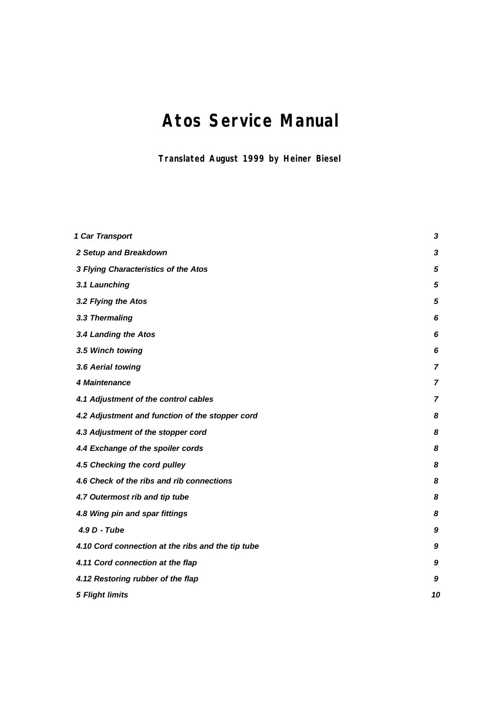# **Atos Service Manual**

**Translated August 1999 by Heiner Biesel**

| 1 Car Transport                                   | 3              |
|---------------------------------------------------|----------------|
| 2 Setup and Breakdown                             | 3              |
| 3 Flying Characteristics of the Atos              | 5              |
| 3.1 Launching                                     | 5              |
| 3.2 Flying the Atos                               | 5              |
| 3.3 Thermaling                                    | 6              |
| 3.4 Landing the Atos                              | 6              |
| 3.5 Winch towing                                  | 6              |
| 3.6 Aerial towing                                 | $\overline{7}$ |
| 4 Maintenance                                     | $\overline{7}$ |
| 4.1 Adjustment of the control cables              | $\overline{z}$ |
| 4.2 Adjustment and function of the stopper cord   | 8              |
| 4.3 Adjustment of the stopper cord                | 8              |
| 4.4 Exchange of the spoiler cords                 | 8              |
| 4.5 Checking the cord pulley                      | 8              |
| 4.6 Check of the ribs and rib connections         | 8              |
| 4.7 Outermost rib and tip tube                    | 8              |
| 4.8 Wing pin and spar fittings                    | 8              |
| 4.9 D - Tube                                      | 9              |
| 4.10 Cord connection at the ribs and the tip tube | 9              |
| 4.11 Cord connection at the flap                  | 9              |
| 4.12 Restoring rubber of the flap                 | 9              |
| <b>5 Flight limits</b>                            | 10             |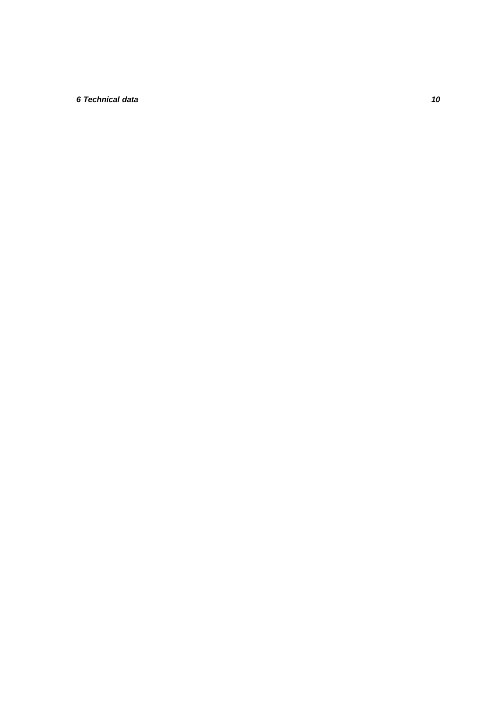# *6 Technical data 10*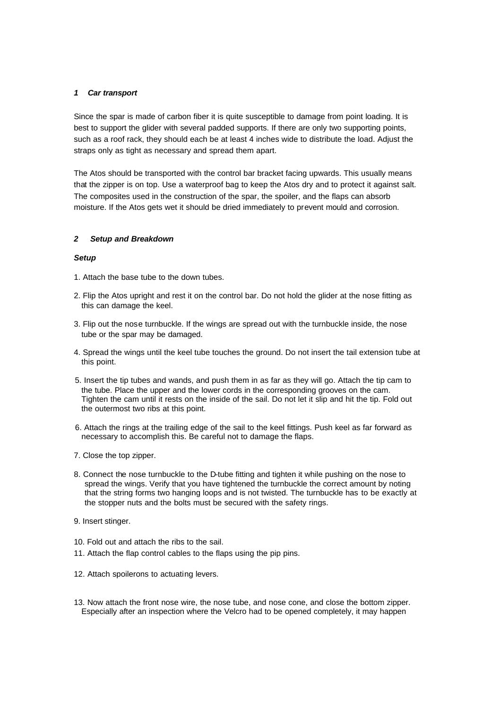## *1 Car transport*

Since the spar is made of carbon fiber it is quite susceptible to damage from point loading. It is best to support the glider with several padded supports. If there are only two supporting points, such as a roof rack, they should each be at least 4 inches wide to distribute the load. Adjust the straps only as tight as necessary and spread them apart.

The Atos should be transported with the control bar bracket facing upwards. This usually means that the zipper is on top. Use a waterproof bag to keep the Atos dry and to protect it against salt. The composites used in the construction of the spar, the spoiler, and the flaps can absorb moisture. If the Atos gets wet it should be dried immediately to prevent mould and corrosion.

## *2 Setup and Breakdown*

## *Setup*

- 1. Attach the base tube to the down tubes.
- 2. Flip the Atos upright and rest it on the control bar. Do not hold the glider at the nose fitting as this can damage the keel.
- 3. Flip out the nose turnbuckle. If the wings are spread out with the turnbuckle inside, the nose tube or the spar may be damaged.
- 4. Spread the wings until the keel tube touches the ground. Do not insert the tail extension tube at this point.
- 5. Insert the tip tubes and wands, and push them in as far as they will go. Attach the tip cam to the tube. Place the upper and the lower cords in the corresponding grooves on the cam. Tighten the cam until it rests on the inside of the sail. Do not let it slip and hit the tip. Fold out the outermost two ribs at this point.
- 6. Attach the rings at the trailing edge of the sail to the keel fittings. Push keel as far forward as necessary to accomplish this. Be careful not to damage the flaps.
- 7. Close the top zipper.
- 8. Connect the nose turnbuckle to the D-tube fitting and tighten it while pushing on the nose to spread the wings. Verify that you have tightened the turnbuckle the correct amount by noting that the string forms two hanging loops and is not twisted. The turnbuckle has to be exactly at the stopper nuts and the bolts must be secured with the safety rings.
- 9. Insert stinger.
- 10. Fold out and attach the ribs to the sail.
- 11. Attach the flap control cables to the flaps using the pip pins.
- 12. Attach spoilerons to actuating levers.
- 13. Now attach the front nose wire, the nose tube, and nose cone, and close the bottom zipper. Especially after an inspection where the Velcro had to be opened completely, it may happen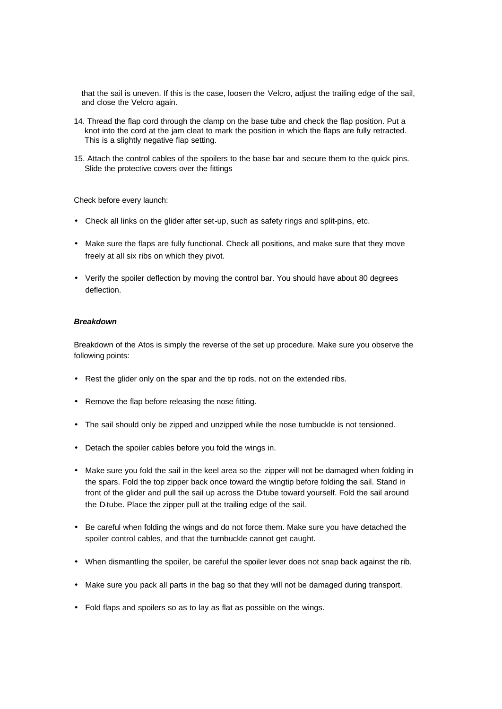that the sail is uneven. If this is the case, loosen the Velcro, adjust the trailing edge of the sail, and close the Velcro again.

- 14. Thread the flap cord through the clamp on the base tube and check the flap position. Put a knot into the cord at the jam cleat to mark the position in which the flaps are fully retracted. This is a slightly negative flap setting.
- 15. Attach the control cables of the spoilers to the base bar and secure them to the quick pins. Slide the protective covers over the fittings

Check before every launch:

- Check all links on the glider after set-up, such as safety rings and split-pins, etc.
- Make sure the flaps are fully functional. Check all positions, and make sure that they move freely at all six ribs on which they pivot.
- Verify the spoiler deflection by moving the control bar. You should have about 80 degrees deflection.

## *Breakdown*

Breakdown of the Atos is simply the reverse of the set up procedure. Make sure you observe the following points:

- Rest the glider only on the spar and the tip rods, not on the extended ribs.
- Remove the flap before releasing the nose fitting.
- The sail should only be zipped and unzipped while the nose turnbuckle is not tensioned.
- Detach the spoiler cables before you fold the wings in.
- Make sure you fold the sail in the keel area so the zipper will not be damaged when folding in the spars. Fold the top zipper back once toward the wingtip before folding the sail. Stand in front of the glider and pull the sail up across the D-tube toward yourself. Fold the sail around the D-tube. Place the zipper pull at the trailing edge of the sail.
- Be careful when folding the wings and do not force them. Make sure you have detached the spoiler control cables, and that the turnbuckle cannot get caught.
- When dismantling the spoiler, be careful the spoiler lever does not snap back against the rib.
- Make sure you pack all parts in the bag so that they will not be damaged during transport.
- Fold flaps and spoilers so as to lay as flat as possible on the wings.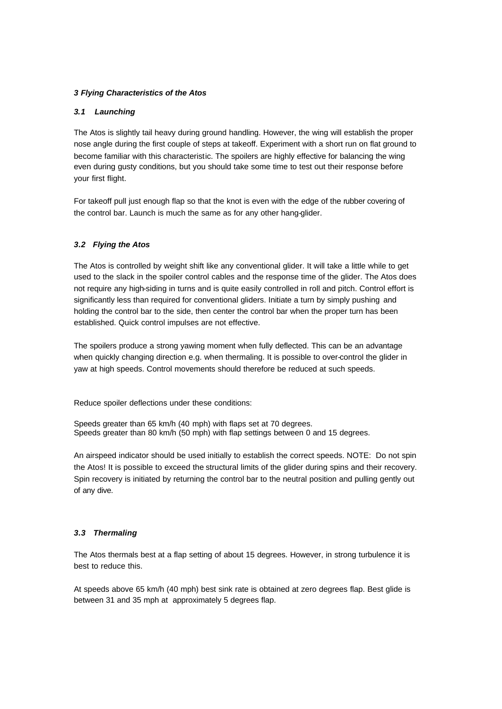## *3 Flying Characteristics of the Atos*

## *3.1 Launching*

The Atos is slightly tail heavy during ground handling. However, the wing will establish the proper nose angle during the first couple of steps at takeoff. Experiment with a short run on flat ground to become familiar with this characteristic. The spoilers are highly effective for balancing the wing even during gusty conditions, but you should take some time to test out their response before your first flight.

For takeoff pull just enough flap so that the knot is even with the edge of the rubber covering of the control bar. Launch is much the same as for any other hang-glider.

## *3.2 Flying the Atos*

The Atos is controlled by weight shift like any conventional glider. It will take a little while to get used to the slack in the spoiler control cables and the response time of the glider. The Atos does not require any high-siding in turns and is quite easily controlled in roll and pitch. Control effort is significantly less than required for conventional gliders. Initiate a turn by simply pushing and holding the control bar to the side, then center the control bar when the proper turn has been established. Quick control impulses are not effective.

The spoilers produce a strong yawing moment when fully deflected. This can be an advantage when quickly changing direction e.g. when thermaling. It is possible to over-control the glider in yaw at high speeds. Control movements should therefore be reduced at such speeds.

Reduce spoiler deflections under these conditions:

Speeds greater than 65 km/h (40 mph) with flaps set at 70 degrees. Speeds greater than 80 km/h (50 mph) with flap settings between 0 and 15 degrees.

An airspeed indicator should be used initially to establish the correct speeds. NOTE: Do not spin the Atos! It is possible to exceed the structural limits of the glider during spins and their recovery. Spin recovery is initiated by returning the control bar to the neutral position and pulling gently out of any dive.

## *3.3 Thermaling*

The Atos thermals best at a flap setting of about 15 degrees. However, in strong turbulence it is best to reduce this.

At speeds above 65 km/h (40 mph) best sink rate is obtained at zero degrees flap. Best glide is between 31 and 35 mph at approximately 5 degrees flap.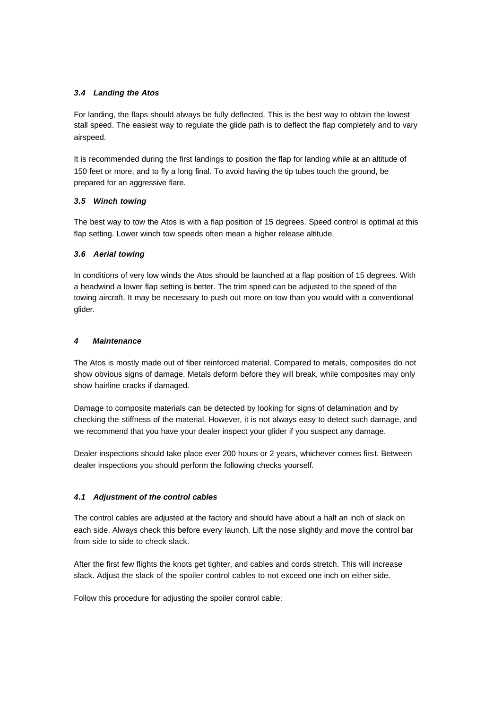# *3.4 Landing the Atos*

For landing, the flaps should always be fully deflected. This is the best way to obtain the lowest stall speed. The easiest way to regulate the glide path is to deflect the flap completely and to vary airspeed.

It is recommended during the first landings to position the flap for landing while at an altitude of 150 feet or more, and to fly a long final. To avoid having the tip tubes touch the ground, be prepared for an aggressive flare.

# *3.5 Winch towing*

The best way to tow the Atos is with a flap position of 15 degrees. Speed control is optimal at this flap setting. Lower winch tow speeds often mean a higher release altitude.

# *3.6 Aerial towing*

In conditions of very low winds the Atos should be launched at a flap position of 15 degrees. With a headwind a lower flap setting is better. The trim speed can be adjusted to the speed of the towing aircraft. It may be necessary to push out more on tow than you would with a conventional glider.

## *4 Maintenance*

The Atos is mostly made out of fiber reinforced material. Compared to metals, composites do not show obvious signs of damage. Metals deform before they will break, while composites may only show hairline cracks if damaged.

Damage to composite materials can be detected by looking for signs of delamination and by checking the stiffness of the material. However, it is not always easy to detect such damage, and we recommend that you have your dealer inspect your glider if you suspect any damage.

Dealer inspections should take place ever 200 hours or 2 years, whichever comes first. Between dealer inspections you should perform the following checks yourself.

# *4.1 Adjustment of the control cables*

The control cables are adjusted at the factory and should have about a half an inch of slack on each side. Always check this before every launch. Lift the nose slightly and move the control bar from side to side to check slack.

After the first few flights the knots get tighter, and cables and cords stretch. This will increase slack. Adjust the slack of the spoiler control cables to not exceed one inch on either side.

Follow this procedure for adjusting the spoiler control cable: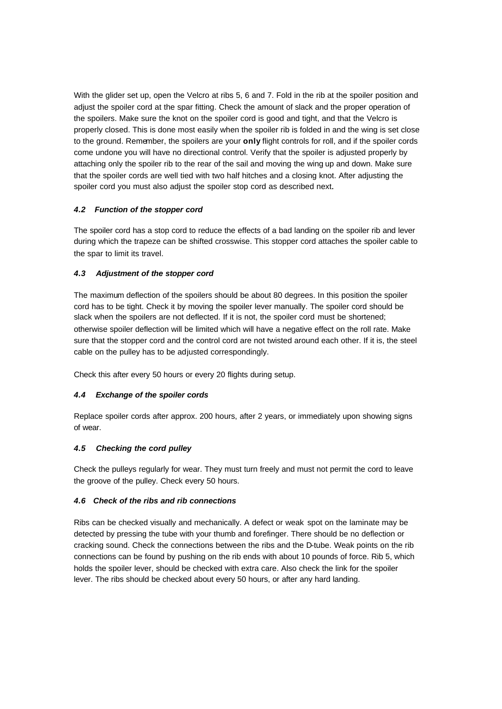With the glider set up, open the Velcro at ribs 5, 6 and 7. Fold in the rib at the spoiler position and adjust the spoiler cord at the spar fitting. Check the amount of slack and the proper operation of the spoilers. Make sure the knot on the spoiler cord is good and tight, and that the Velcro is properly closed. This is done most easily when the spoiler rib is folded in and the wing is set close to the ground. Remember, the spoilers are your **only** flight controls for roll, and if the spoiler cords come undone you will have no directional control. Verify that the spoiler is adjusted properly by attaching only the spoiler rib to the rear of the sail and moving the wing up and down. Make sure that the spoiler cords are well tied with two half hitches and a closing knot. After adjusting the spoiler cord you must also adjust the spoiler stop cord as described next.

# *4.2 Function of the stopper cord*

The spoiler cord has a stop cord to reduce the effects of a bad landing on the spoiler rib and lever during which the trapeze can be shifted crosswise. This stopper cord attaches the spoiler cable to the spar to limit its travel.

# *4.3 Adjustment of the stopper cord*

The maximum deflection of the spoilers should be about 80 degrees. In this position the spoiler cord has to be tight. Check it by moving the spoiler lever manually. The spoiler cord should be slack when the spoilers are not deflected. If it is not, the spoiler cord must be shortened; otherwise spoiler deflection will be limited which will have a negative effect on the roll rate. Make sure that the stopper cord and the control cord are not twisted around each other. If it is, the steel cable on the pulley has to be adjusted correspondingly.

Check this after every 50 hours or every 20 flights during setup.

# *4.4 Exchange of the spoiler cords*

Replace spoiler cords after approx. 200 hours, after 2 years, or immediately upon showing signs of wear.

## *4.5 Checking the cord pulley*

Check the pulleys regularly for wear. They must turn freely and must not permit the cord to leave the groove of the pulley. Check every 50 hours.

## *4.6 Check of the ribs and rib connections*

Ribs can be checked visually and mechanically. A defect or weak spot on the laminate may be detected by pressing the tube with your thumb and forefinger. There should be no deflection or cracking sound. Check the connections between the ribs and the D-tube. Weak points on the rib connections can be found by pushing on the rib ends with about 10 pounds of force. Rib 5, which holds the spoiler lever, should be checked with extra care. Also check the link for the spoiler lever. The ribs should be checked about every 50 hours, or after any hard landing.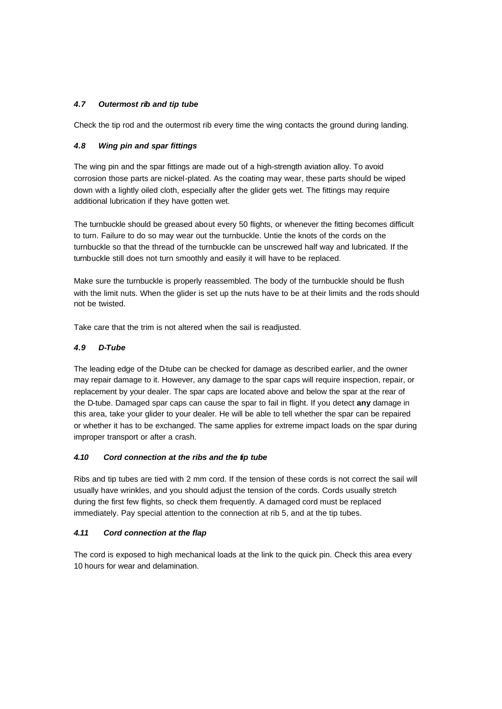# *4.7 Outermost rib and tip tube*

Check the tip rod and the outermost rib every time the wing contacts the ground during landing.

## *4.8 Wing pin and spar fittings*

The wing pin and the spar fittings are made out of a high-strength aviation alloy. To avoid corrosion those parts are nickel-plated. As the coating may wear, these parts should be wiped down with a lightly oiled cloth, especially after the glider gets wet. The fittings may require additional lubrication if they have gotten wet.

The turnbuckle should be greased about every 50 flights, or whenever the fitting becomes difficult to turn. Failure to do so may wear out the turnbuckle. Untie the knots of the cords on the turnbuckle so that the thread of the turnbuckle can be unscrewed half way and lubricated. If the turnbuckle still does not turn smoothly and easily it will have to be replaced.

Make sure the turnbuckle is properly reassembled. The body of the turnbuckle should be flush with the limit nuts. When the glider is set up the nuts have to be at their limits and the rods should not be twisted.

Take care that the trim is not altered when the sail is readjusted.

## *4.9 D-Tube*

The leading edge of the D-tube can be checked for damage as described earlier, and the owner may repair damage to it. However, any damage to the spar caps will require inspection, repair, or replacement by your dealer. The spar caps are located above and below the spar at the rear of the D-tube. Damaged spar caps can cause the spar to fail in flight. If you detect **any** damage in this area, take your glider to your dealer. He will be able to tell whether the spar can be repaired or whether it has to be exchanged. The same applies for extreme impact loads on the spar during improper transport or after a crash.

## *4.10 Cord connection at the ribs and the tip tube*

Ribs and tip tubes are tied with 2 mm cord. If the tension of these cords is not correct the sail will usually have wrinkles, and you should adjust the tension of the cords. Cords usually stretch during the first few flights, so check them frequently. A damaged cord must be replaced immediately. Pay special attention to the connection at rib 5, and at the tip tubes.

## *4.11 Cord connection at the flap*

The cord is exposed to high mechanical loads at the link to the quick pin. Check this area every 10 hours for wear and delamination.